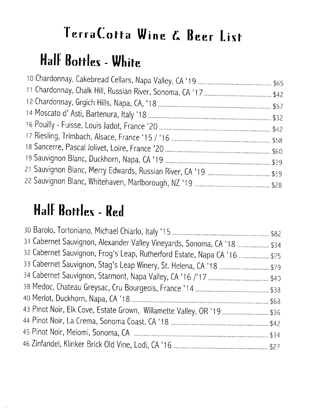#### Half Bottles - White

#### Half Bottles - Red

| 31 Cabernet Sauvignon, Alexander Valley Vineyards, Sonoma, CA '18  \$34  |
|--------------------------------------------------------------------------|
| 32 Cabernet Sauvignon, Frog's Leap, Rutherford Estate, Napa CA '16  \$75 |
| 33 Cabernet Sauvignon, Stag's Leap Winery, St. Helena, CA '18  \$79      |
|                                                                          |
|                                                                          |
|                                                                          |
|                                                                          |
|                                                                          |
|                                                                          |
|                                                                          |
| 43 Pinot Noir, Elk Cove, Estate Grown, Willamette Valley, OR '19  \$36   |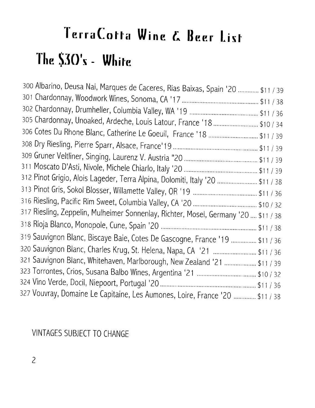# TerraCotta Wine & Beer List The \$30's - White

| 300 Albarino, Deusa Nai, Marques de Caceres, Rias Baixas, Spain '20  \$11 / 39      |
|-------------------------------------------------------------------------------------|
|                                                                                     |
|                                                                                     |
| 305 Chardonnay, Unoaked, Ardeche, Louis Latour, France '18  \$10 / 34               |
| 306 Cotes Du Rhone Blanc, Catherine Le Goeuil, France '18  \$11 / 39                |
|                                                                                     |
|                                                                                     |
|                                                                                     |
| 312 Pinot Grigio, Alois Lageder, Terra Alpina, Dolomiti, Italy '20  \$11 / 38       |
|                                                                                     |
|                                                                                     |
| 317 Riesling, Zeppelin, Mulheimer Sonnenlay, Richter, Mosel, Germany '20  \$11 / 38 |
|                                                                                     |
| 319 Sauvignon Blanc, Biscaye Baie, Cotes De Gascogne, France '19  \$11 / 36         |
| 320 Sauvignon Blanc, Charles Krug, St. Helena, Napa, CA 121  \$11 / 36              |
| 321 Sauvignon Blanc, Whitehaven, Marlborough, New Zealand '21  \$11 / 39            |
|                                                                                     |
|                                                                                     |
| 327 Vouvray, Domaine Le Capitaine, Les Aumones, Loire, France '20  \$11 / 38        |
|                                                                                     |

#### VINTAGES SUBJECT TO CHANGE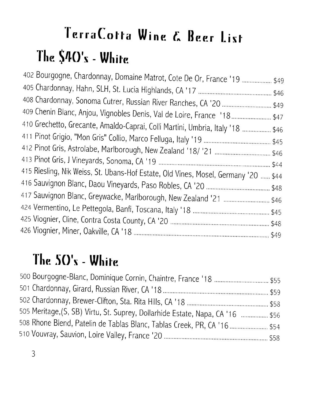# TerraCotta Wine & Beer List The \$40's - White

| 402 Bourgogne, Chardonnay, Domaine Matrot, Cote De Or, France '19  \$49            |  |
|------------------------------------------------------------------------------------|--|
|                                                                                    |  |
|                                                                                    |  |
| 409 Chenin Blanc, Anjou, Vignobles Denis, Val de Loire, France '18 \$47            |  |
| 410 Grechetto, Grecante, Amaldo-Caprai, Colli Martini, Umbria, Italy '18  \$46     |  |
|                                                                                    |  |
|                                                                                    |  |
|                                                                                    |  |
| 415 Riesling, Nik Weiss, St. Ubans-Hof Estate, Old Vines, Mosel, Germany '20  \$44 |  |
|                                                                                    |  |
| 417 Sauvignon Blanc, Greywacke, Marlborough, New Zealand '21  \$46                 |  |
|                                                                                    |  |
|                                                                                    |  |
|                                                                                    |  |
|                                                                                    |  |

#### The SO's - White

| 505 Meritage, (S, SB) Virtu, St. Suprey, Dollarhide Estate, Napa, CA '16  \$56 |  |
|--------------------------------------------------------------------------------|--|
| 508 Rhone Blend, Patelin de Tablas Blanc, Tablas Creek, PR, CA '16  \$54       |  |
|                                                                                |  |
|                                                                                |  |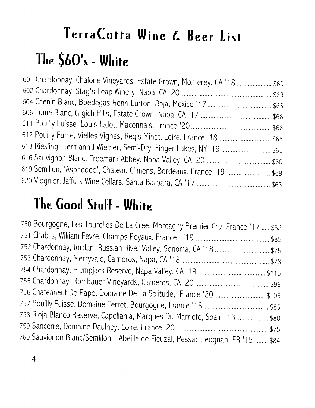# TerraCotta Wine & Beer List The \$60's - White

| 601 Chardonnay, Chalone Vineyards, Estate Grown, Monterey, CA '18  \$69 |  |
|-------------------------------------------------------------------------|--|
|                                                                         |  |
|                                                                         |  |
|                                                                         |  |
|                                                                         |  |
| 612 Pouilly Fume, Vielles Vignes, Regis Minet, Loire, France '18  \$65  |  |
| 613 Riesling, Hermann J Wiemer, Semi-Dry, Finger Lakes, NY '19  \$65    |  |
|                                                                         |  |
| 619 Semillon, 'Asphodee', Chateau Climens, Bordeaux, France '19  \$69   |  |
|                                                                         |  |

#### The Good Stuff - White

| 750 Bourgogne, Les Tourelles De La Cree, Montagny Premier Cru, France '17  \$82  |
|----------------------------------------------------------------------------------|
|                                                                                  |
|                                                                                  |
|                                                                                  |
|                                                                                  |
|                                                                                  |
| 756 Chateaneuf De Pape, Domaine De La Solitude, France '20  \$105                |
|                                                                                  |
| 758 Rioja Blanco Reserve, Capellania, Marques Du Marriete, Spain '13  \$80       |
|                                                                                  |
| 760 Sauvignon Blanc/Semillon, l'Abeille de Fieuzal, Pessac-Leognan, FR '15  \$84 |
|                                                                                  |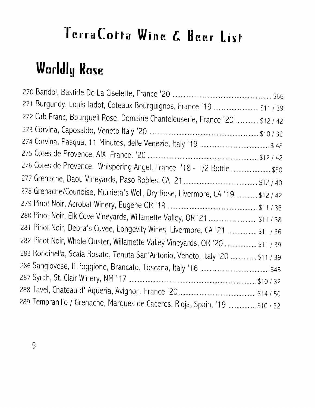### **Worldly Rose**

| 271 Burgundy, Louis Jadot, Coteaux Bourguignos, France '19  \$11 / 39          |  |
|--------------------------------------------------------------------------------|--|
| 272 Cab Franc, Bourgueil Rose, Domaine Chanteleuserie, France '20  \$12 / 42   |  |
|                                                                                |  |
|                                                                                |  |
|                                                                                |  |
| 276 Cotes de Provence, Whispering Angel, France '18 - 1/2 Bottle \$30          |  |
|                                                                                |  |
| 278 Grenache/Counoise, Murrieta's Well, Dry Rose, Livermore, CA '19  \$12 / 42 |  |
|                                                                                |  |
| 280 Pinot Noir, Elk Cove Vineyards, Willamette Valley, OR '21  \$11 / 38       |  |
| 281 Pinot Noir, Debra's Cuvee, Longevity Wines, Livermore, CA '21  \$11 / 36   |  |
| 282 Pinot Noir, Whole Cluster, Willamette Valley Vineyards, OR '20  \$11 / 39  |  |
| 283 Rondinella, Scaia Rosato, Tenuta San'Antonio, Veneto, Italy '20  \$11 / 39 |  |
|                                                                                |  |
|                                                                                |  |
|                                                                                |  |
| 289 Tempranillo / Grenache, Marques de Caceres, Rioja, Spain, '19  \$10 / 32   |  |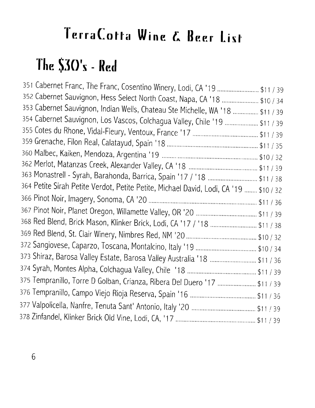### The  $$30's$  - Red

351 Cabernet Franc, The Franc, Cosentino Winery, Lodi, CA '19 .......................... \$11 / 39 352 Cabernet Sauvignon, Hess Select North Coast, Napa, CA '18 ...................... \$10 / 34 353 Cabernet Sauvignon, Indian Wells, Chateau Ste Michelle, WA '18 ................ \$11 / 39 354 Cabernet Sauvignon, Los Vascos, Colchagua Valley, Chile '19 .................... \$11 / 39 363 Monastrell - Syrah, Barahonda, Barrica, Spain '17 / '18 .............................. \$11 / 38 364 Petite Sirah Petite Verdot, Petite Petite, Michael David, Lodi, CA '19 ........ \$10 / 32 368 Red Blend, Brick Mason, Klinker Brick, Lodi, CA '17 / '18 ............................. \$11 / 38 373 Shiraz, Barosa Valley Estate, Barosa Valley Australia '18 .............................. \$11 / 36 375 Tempranillo, Torre D Golban, Crianza, Ribera Del Duero '17 ........................ \$11 / 39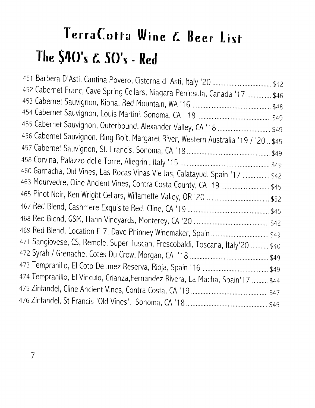# TerraCotta Wine & Beer List The \$40's & 50's - Red

| 452 Cabernet Franc, Cave Spring Cellars, Niagara Peninsula, Canada '17  \$46         |  |
|--------------------------------------------------------------------------------------|--|
|                                                                                      |  |
|                                                                                      |  |
| 455 Cabernet Sauvignon, Outerbound, Alexander Valley, CA '18  \$49                   |  |
| 456 Cabernet Sauvignon, Ring Bolt, Margaret River, Western Australia '19 / '20. \$45 |  |
|                                                                                      |  |
|                                                                                      |  |
| 460 Garnacha, Old Vines, Las Rocas Vinas Vie Jas, Calatayud, Spain '17  \$42         |  |
| 463 Mourvedre, Cline Ancient Vines, Contra Costa County, CA '19  \$45                |  |
|                                                                                      |  |
|                                                                                      |  |
|                                                                                      |  |
|                                                                                      |  |
|                                                                                      |  |
| 471 Sangiovese, CS, Remole, Super Tuscan, Frescobaldi, Toscana, Italy'20  \$40       |  |
|                                                                                      |  |
|                                                                                      |  |
| 474 Tempranillo, El Vinculo, Crianza,Fernandez Rivera, La Macha, Spain'17  \$44      |  |
|                                                                                      |  |
|                                                                                      |  |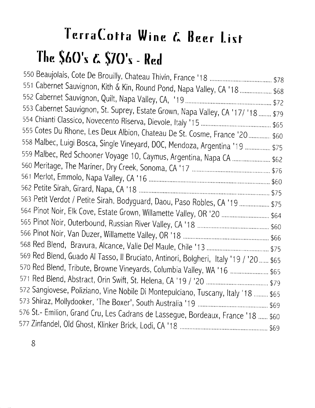# TerraCotta Wine & Beer List The \$60's & \$70's - Red

| 551 Cabernet Sauvignon, Kith & Kin, Round Pond, Napa Valley, CA '18  \$68             |  |
|---------------------------------------------------------------------------------------|--|
|                                                                                       |  |
| 553 Cabernet Sauvignon, St. Suprey, Estate Grown, Napa Valley, CA '17/ '18  \$79      |  |
|                                                                                       |  |
| 555 Cotes Du Rhone, Les Deux Albion, Chateau De St. Cosme, France '20 \$60            |  |
| 558 Malbec, Luigi Bosca, Single Vineyard, DOC, Mendoza, Argentina '19  \$75           |  |
|                                                                                       |  |
| 559 Malbec, Red Schooner Voyage 10, Caymus, Argentina, Napa CA  \$62                  |  |
|                                                                                       |  |
|                                                                                       |  |
|                                                                                       |  |
| 563 Petit Verdot / Petite Sirah, Bodyguard, Daou, Paso Robles, CA '19  \$75           |  |
| 564 Pinot Noir, Elk Cove, Estate Grown, Willamette Valley, OR '20  \$64               |  |
|                                                                                       |  |
|                                                                                       |  |
|                                                                                       |  |
| 569 Red Blend, Guado Al Tasso, Il Bruciato, Antinori, Bolgheri, Italy '19 / '20  \$65 |  |
| 570 Red Blend, Tribute, Browne Vineyards, Columbia Valley, WA '16  \$65               |  |
|                                                                                       |  |
| 572 Sangiovese, Poliziano, Vine Nobile Di Montepulciano, Tuscany, Italy '18  \$65     |  |
|                                                                                       |  |
| 576 St.- Emilion, Grand Cru, Les Cadrans de Lassegue, Bordeaux, France '18  \$60      |  |
|                                                                                       |  |
|                                                                                       |  |

 $8\phantom{.}$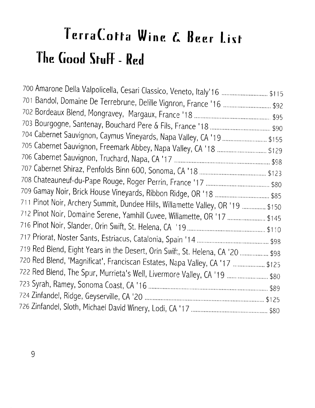# TerraCotta Wine & Beer List The Good Stuff - Red

| 700 Amarone Della Valpolicella, Cesari Classico, Veneto, Italy'16  \$115       |  |
|--------------------------------------------------------------------------------|--|
| 701 Bandol, Domaine De Terrebrune, Delille Vignron, France '16  \$92           |  |
|                                                                                |  |
|                                                                                |  |
| 704 Cabernet Sauvignon, Caymus Vineyards, Napa Valley, CA '19  \$155           |  |
| 705 Cabernet Sauvignon, Freemark Abbey, Napa Valley, CA '18  \$129             |  |
|                                                                                |  |
|                                                                                |  |
|                                                                                |  |
|                                                                                |  |
| 711 Pinot Noir, Archery Summit, Dundee Hills, Willamette Valley, OR '19  \$150 |  |
| 712 Pinot Noir, Domaine Serene, Yamhill Cuvee, Willamette, OR '17  \$145       |  |
|                                                                                |  |
|                                                                                |  |
| 719 Red Blend, Eight Years in the Desert, Orin Swift, St. Helena, CA '20  \$98 |  |
| 720 Red Blend, 'Magnificat', Franciscan Estates, Napa Valley, CA '17  \$125    |  |
| 722 Red Blend, The Spur, Murrieta's Well, Livermore Valley, CA '19 \$80        |  |
|                                                                                |  |
|                                                                                |  |
|                                                                                |  |
|                                                                                |  |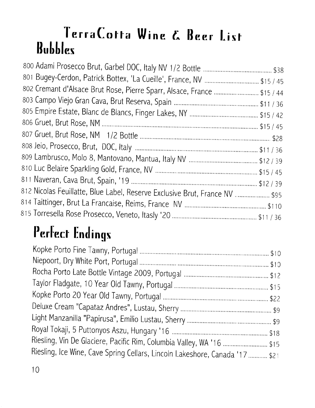#### TerraCotta Wine & Beer List **Bubbles**

| 802 Cremant d'Alsace Brut Rose, Pierre Sparr, Alsace, France  \$15 / 44     |  |
|-----------------------------------------------------------------------------|--|
|                                                                             |  |
|                                                                             |  |
|                                                                             |  |
|                                                                             |  |
|                                                                             |  |
|                                                                             |  |
|                                                                             |  |
|                                                                             |  |
| 812 Nicolas Feuillatte, Blue Label, Reserve Exclusive Brut, France NV  \$95 |  |
|                                                                             |  |
|                                                                             |  |
|                                                                             |  |

### Perfect Endings

| Riesling, Vin De Glaciere, Pacific Rim, Columbia Valley, WA '16  \$15        |  |
|------------------------------------------------------------------------------|--|
| Riesling, Ice Wine, Cave Spring Cellars, Lincoln Lakeshore, Canada '17  \$21 |  |